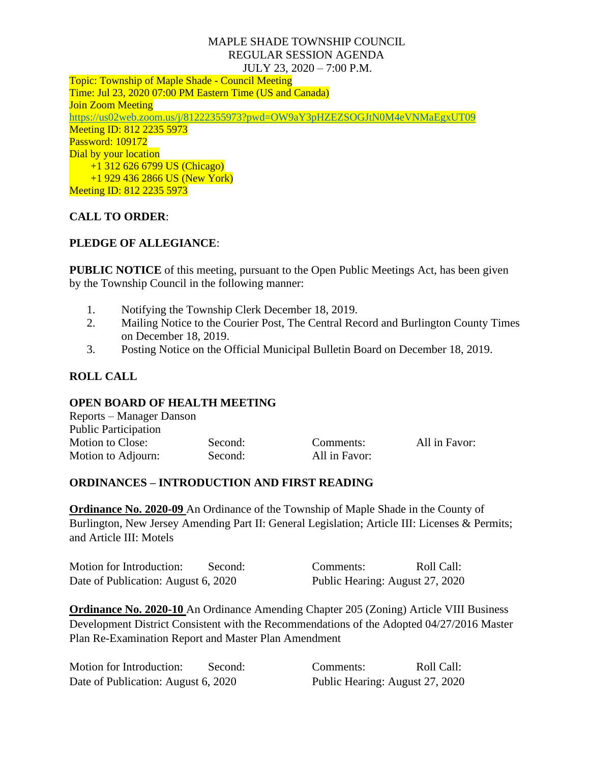#### MAPLE SHADE TOWNSHIP COUNCIL REGULAR SESSION AGENDA JULY 23, 2020 – 7:00 P.M.

Topic: Township of Maple Shade - Council Meeting Time: Jul 23, 2020 07:00 PM Eastern Time (US and Canada) Join Zoom Meeting <https://us02web.zoom.us/j/81222355973?pwd=OW9aY3pHZEZSOGJtN0M4eVNMaEgxUT09> Meeting ID: 812 2235 5973 Password: 109172 Dial by your location +1 312 626 6799 US (Chicago) +1 929 436 2866 US (New York) Meeting ID: 812 2235 5973

# **CALL TO ORDER**:

# **PLEDGE OF ALLEGIANCE**:

**PUBLIC NOTICE** of this meeting, pursuant to the Open Public Meetings Act, has been given by the Township Council in the following manner:

- 1. Notifying the Township Clerk December 18, 2019.
- 2. Mailing Notice to the Courier Post, The Central Record and Burlington County Times on December 18, 2019.
- 3. Posting Notice on the Official Municipal Bulletin Board on December 18, 2019.

# **ROLL CALL**

## **OPEN BOARD OF HEALTH MEETING**

| Reports – Manager Danson    |         |               |               |
|-----------------------------|---------|---------------|---------------|
| <b>Public Participation</b> |         |               |               |
| <b>Motion to Close:</b>     | Second: | Comments:     | All in Favor: |
| Motion to Adjourn:          | Second: | All in Favor: |               |

## **ORDINANCES – INTRODUCTION AND FIRST READING**

**Ordinance No. 2020-09** An Ordinance of the Township of Maple Shade in the County of Burlington, New Jersey Amending Part II: General Legislation; Article III: Licenses & Permits; and Article III: Motels

| Motion for Introduction:            | Second: | Comments:                       | Roll Call: |
|-------------------------------------|---------|---------------------------------|------------|
| Date of Publication: August 6, 2020 |         | Public Hearing: August 27, 2020 |            |

**Ordinance No. 2020-10** An Ordinance Amending Chapter 205 (Zoning) Article VIII Business Development District Consistent with the Recommendations of the Adopted 04/27/2016 Master Plan Re-Examination Report and Master Plan Amendment

| Motion for Introduction:            | Second: | Comments:                       | Roll Call: |
|-------------------------------------|---------|---------------------------------|------------|
| Date of Publication: August 6, 2020 |         | Public Hearing: August 27, 2020 |            |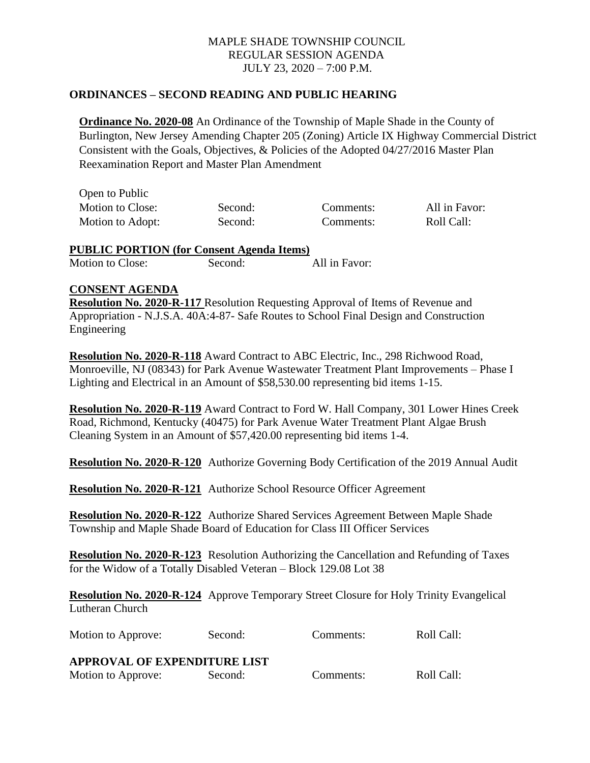#### MAPLE SHADE TOWNSHIP COUNCIL REGULAR SESSION AGENDA JULY 23, 2020 – 7:00 P.M.

#### **ORDINANCES – SECOND READING AND PUBLIC HEARING**

**Ordinance No. 2020-08** An Ordinance of the Township of Maple Shade in the County of Burlington, New Jersey Amending Chapter 205 (Zoning) Article IX Highway Commercial District Consistent with the Goals, Objectives, & Policies of the Adopted 04/27/2016 Master Plan Reexamination Report and Master Plan Amendment

| Open to Public   |         |           |               |
|------------------|---------|-----------|---------------|
| Motion to Close: | Second: | Comments: | All in Favor: |
| Motion to Adopt: | Second: | Comments: | Roll Call:    |

**PUBLIC PORTION (for Consent Agenda Items)** Motion to Close: Second: All in Favor:

#### **CONSENT AGENDA**

**Resolution No. 2020-R-117** Resolution Requesting Approval of Items of Revenue and Appropriation - N.J.S.A. 40A:4-87- Safe Routes to School Final Design and Construction Engineering

**Resolution No. 2020-R-118** Award Contract to ABC Electric, Inc., 298 Richwood Road, Monroeville, NJ (08343) for Park Avenue Wastewater Treatment Plant Improvements – Phase I Lighting and Electrical in an Amount of \$58,530.00 representing bid items 1-15.

**Resolution No. 2020-R-119** Award Contract to Ford W. Hall Company, 301 Lower Hines Creek Road, Richmond, Kentucky (40475) for Park Avenue Water Treatment Plant Algae Brush Cleaning System in an Amount of \$57,420.00 representing bid items 1-4.

**Resolution No. 2020-R**-**120** Authorize Governing Body Certification of the 2019 Annual Audit

**Resolution No. 2020-R-121** Authorize School Resource Officer Agreement

**Resolution No. 2020-R-122** Authorize Shared Services Agreement Between Maple Shade Township and Maple Shade Board of Education for Class III Officer Services

**Resolution No. 2020-R-123** Resolution Authorizing the Cancellation and Refunding of Taxes for the Widow of a Totally Disabled Veteran – Block 129.08 Lot 38

**Resolution No. 2020-R-124** Approve Temporary Street Closure for Holy Trinity Evangelical Lutheran Church

Motion to Approve: Second: Comments: Roll Call:

| APPROVAL OF EXPENDITURE LIST |         |           |            |  |
|------------------------------|---------|-----------|------------|--|
| Motion to Approve:           | Second: | Comments: | Roll Call: |  |